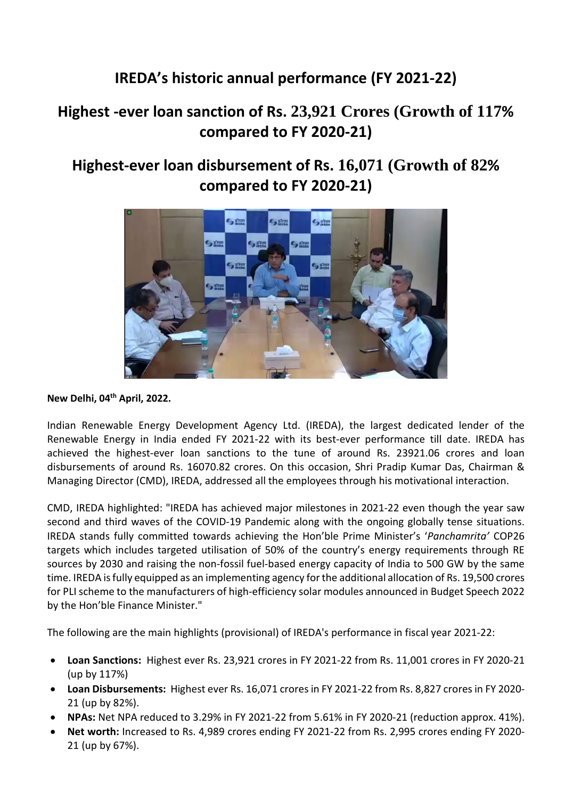## **IREDA's historic annual performance (FY 2021-22)**

## **Highest -ever loan sanction of Rs. 23,921 Crores (Growth of 117% compared to FY 2020-21)**

## **Highest-ever loan disbursement of Rs. 16,071 (Growth of 82% compared to FY 2020-21)**



## **New Delhi, 04th April, 2022.**

Indian Renewable Energy Development Agency Ltd. (IREDA), the largest dedicated lender of the Renewable Energy in India ended FY 2021-22 with its best-ever performance till date. IREDA has achieved the highest-ever loan sanctions to the tune of around Rs. 23921.06 crores and loan disbursements of around Rs. 16070.82 crores. On this occasion, Shri Pradip Kumar Das, Chairman & Managing Director (CMD), IREDA, addressed all the employees through his motivational interaction.

CMD, IREDA highlighted: "IREDA has achieved major milestones in 2021-22 even though the year saw second and third waves of the COVID-19 Pandemic along with the ongoing globally tense situations. IREDA stands fully committed towards achieving the Hon'ble Prime Minister's '*Panchamrita'* COP26 targets which includes targeted utilisation of 50% of the country's energy requirements through RE sources by 2030 and raising the non-fossil fuel-based energy capacity of India to 500 GW by the same time. IREDA is fully equipped as an implementing agency for the additional allocation of Rs. 19,500 crores for PLI scheme to the manufacturers of high-efficiency solar modules announced in Budget Speech 2022 by the Hon'ble Finance Minister."

The following are the main highlights (provisional) of IREDA's performance in fiscal year 2021-22:

- **Loan Sanctions:** Highest ever Rs. 23,921 crores in FY 2021-22 from Rs. 11,001 crores in FY 2020-21 (up by 117%)
- **Loan Disbursements:** Highest ever Rs. 16,071 crores in FY 2021-22 from Rs. 8,827 crores in FY 2020- 21 (up by 82%).
- **NPAs:** Net NPA reduced to 3.29% in FY 2021-22 from 5.61% in FY 2020-21 (reduction approx. 41%).
- **Net worth:** Increased to Rs. 4,989 crores ending FY 2021-22 from Rs. 2,995 crores ending FY 2020- 21 (up by 67%).